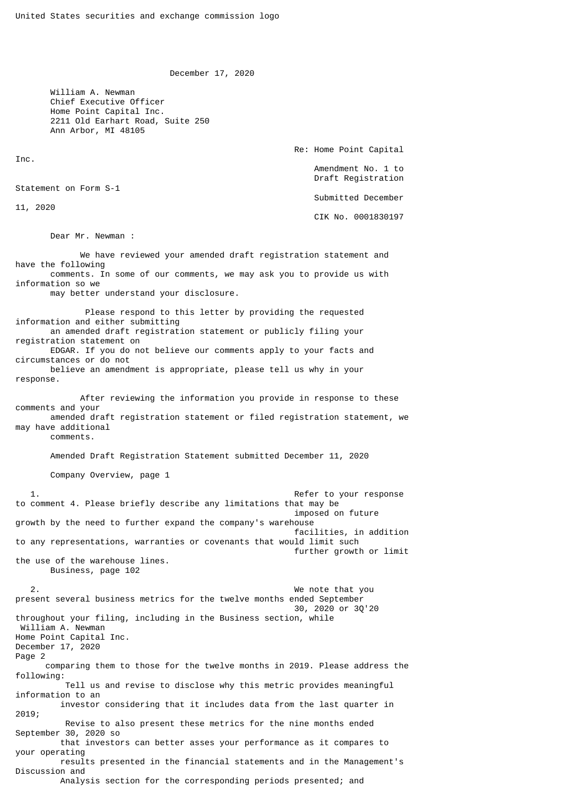December 17, 2020

 William A. Newman Chief Executive Officer Home Point Capital Inc. 2211 Old Earhart Road, Suite 250 Ann Arbor, MI 48105

Re: Home Point Capital

 Amendment No. 1 to Draft Registration

Submitted December

CIK No. 0001830197

Dear Mr. Newman :

Statement on Form S-1

Inc.

11, 2020

 We have reviewed your amended draft registration statement and have the following comments. In some of our comments, we may ask you to provide us with information so we may better understand your disclosure. Please respond to this letter by providing the requested information and either submitting an amended draft registration statement or publicly filing your registration statement on EDGAR. If you do not believe our comments apply to your facts and circumstances or do not believe an amendment is appropriate, please tell us why in your response. After reviewing the information you provide in response to these comments and your amended draft registration statement or filed registration statement, we may have additional comments. Amended Draft Registration Statement submitted December 11, 2020 Company Overview, page 1 1. Refer to your response to comment 4. Please briefly describe any limitations that may be imposed on future growth by the need to further expand the company's warehouse facilities, in addition to any representations, warranties or covenants that would limit such further growth or limit the use of the warehouse lines. Business, page 102 2. We note that you present several business metrics for the twelve months ended September 30, 2020 or 3Q'20 throughout your filing, including in the Business section, while William A. Newman Home Point Capital Inc. December 17, 2020 Page 2 comparing them to those for the twelve months in 2019. Please address the following: Tell us and revise to disclose why this metric provides meaningful information to an investor considering that it includes data from the last quarter in 2019; Revise to also present these metrics for the nine months ended September 30, 2020 so that investors can better asses your performance as it compares to your operating results presented in the financial statements and in the Management's Discussion and Analysis section for the corresponding periods presented; and